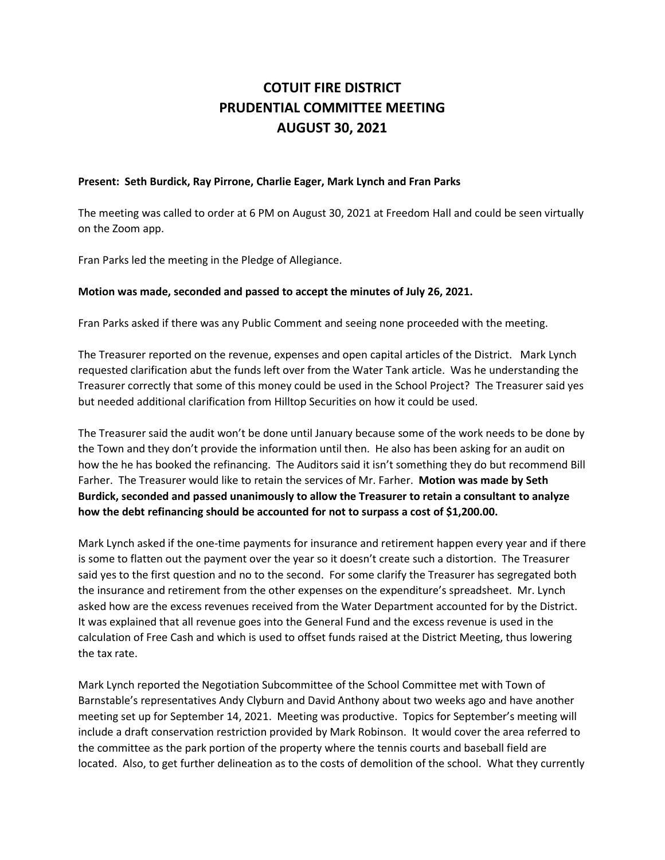## **COTUIT FIRE DISTRICT PRUDENTIAL COMMITTEE MEETING AUGUST 30, 2021**

## **Present: Seth Burdick, Ray Pirrone, Charlie Eager, Mark Lynch and Fran Parks**

The meeting was called to order at 6 PM on August 30, 2021 at Freedom Hall and could be seen virtually on the Zoom app.

Fran Parks led the meeting in the Pledge of Allegiance.

## **Motion was made, seconded and passed to accept the minutes of July 26, 2021.**

Fran Parks asked if there was any Public Comment and seeing none proceeded with the meeting.

The Treasurer reported on the revenue, expenses and open capital articles of the District. Mark Lynch requested clarification abut the funds left over from the Water Tank article. Was he understanding the Treasurer correctly that some of this money could be used in the School Project? The Treasurer said yes but needed additional clarification from Hilltop Securities on how it could be used.

The Treasurer said the audit won't be done until January because some of the work needs to be done by the Town and they don't provide the information until then. He also has been asking for an audit on how the he has booked the refinancing. The Auditors said it isn't something they do but recommend Bill Farher. The Treasurer would like to retain the services of Mr. Farher. **Motion was made by Seth Burdick, seconded and passed unanimously to allow the Treasurer to retain a consultant to analyze how the debt refinancing should be accounted for not to surpass a cost of \$1,200.00.**

Mark Lynch asked if the one-time payments for insurance and retirement happen every year and if there is some to flatten out the payment over the year so it doesn't create such a distortion. The Treasurer said yes to the first question and no to the second. For some clarify the Treasurer has segregated both the insurance and retirement from the other expenses on the expenditure's spreadsheet. Mr. Lynch asked how are the excess revenues received from the Water Department accounted for by the District. It was explained that all revenue goes into the General Fund and the excess revenue is used in the calculation of Free Cash and which is used to offset funds raised at the District Meeting, thus lowering the tax rate.

Mark Lynch reported the Negotiation Subcommittee of the School Committee met with Town of Barnstable's representatives Andy Clyburn and David Anthony about two weeks ago and have another meeting set up for September 14, 2021. Meeting was productive. Topics for September's meeting will include a draft conservation restriction provided by Mark Robinson. It would cover the area referred to the committee as the park portion of the property where the tennis courts and baseball field are located. Also, to get further delineation as to the costs of demolition of the school. What they currently